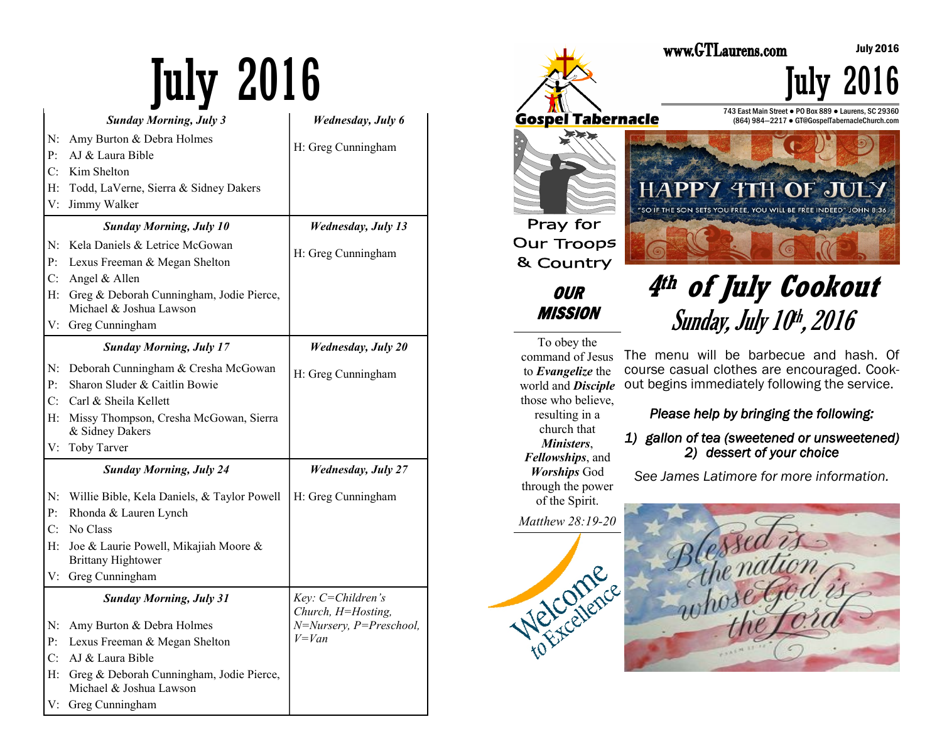|                | <b>Sunday Morning, July 3</b>                                       | <b>Wednesday</b> , July 6                                    |
|----------------|---------------------------------------------------------------------|--------------------------------------------------------------|
| N:             | Amy Burton & Debra Holmes                                           | H: Greg Cunningham                                           |
| P:             | AJ & Laura Bible                                                    |                                                              |
| $C^{\cdot}$    | Kim Shelton                                                         |                                                              |
| H:             | Todd, LaVerne, Sierra & Sidney Dakers                               |                                                              |
| V:             | Jimmy Walker                                                        |                                                              |
|                | <b>Sunday Morning, July 10</b>                                      | <b>Wednesday, July 13</b>                                    |
| N:             | Kela Daniels & Letrice McGowan                                      | H: Greg Cunningham                                           |
| P <sub>1</sub> | Lexus Freeman & Megan Shelton                                       |                                                              |
| C:             | Angel & Allen                                                       |                                                              |
| H:             | Greg & Deborah Cunningham, Jodie Pierce,<br>Michael & Joshua Lawson |                                                              |
|                | V: Greg Cunningham                                                  |                                                              |
|                | <b>Sunday Morning, July 17</b>                                      | <b>Wednesday, July 20</b>                                    |
| N:             | Deborah Cunningham & Cresha McGowan                                 | H: Greg Cunningham                                           |
| P:             | Sharon Sluder & Caitlin Bowie                                       |                                                              |
| C:             | Carl & Sheila Kellett                                               |                                                              |
| Н:             | Missy Thompson, Cresha McGowan, Sierra<br>& Sidney Dakers           |                                                              |
| V:             | Toby Tarver                                                         |                                                              |
|                | <b>Sunday Morning, July 24</b>                                      | <b>Wednesday, July 27</b>                                    |
| N:             | Willie Bible, Kela Daniels, & Taylor Powell                         | H: Greg Cunningham                                           |
| P:             | Rhonda & Lauren Lynch                                               |                                                              |
| C:             | No Class                                                            |                                                              |
| H:             | Joe & Laurie Powell, Mikajiah Moore &<br><b>Brittany Hightower</b>  |                                                              |
|                | V: Greg Cunningham                                                  |                                                              |
|                | <b>Sunday Morning, July 31</b>                                      | Key: C=Children's                                            |
| N:             | Amy Burton & Debra Holmes                                           | Church, H=Hosting,<br>$N=Nursery, P=Preschool,$<br>$V = Van$ |
| P <sub>1</sub> | Lexus Freeman & Megan Shelton                                       |                                                              |
| C:             | AJ & Laura Bible                                                    |                                                              |
| Н:             | Greg & Deborah Cunningham, Jodie Pierce,                            |                                                              |
|                | Michael & Joshua Lawson                                             |                                                              |